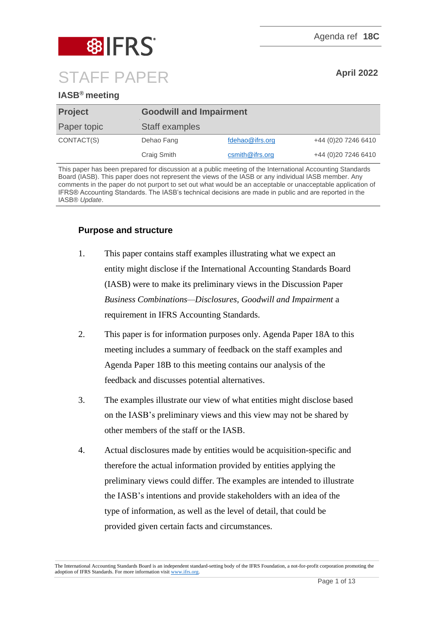



# **IASB® meeting**

| <b>Project</b> | <b>Goodwill and Impairment</b> |                    |                      |
|----------------|--------------------------------|--------------------|----------------------|
| Paper topic    | Staff examples                 |                    |                      |
| CONTACT(S)     | Dehao Fang                     | fdehao@ifrs.org    | +44 (0) 20 7246 6410 |
|                | Craig Smith                    | $c$ smith@ifrs.org | +44 (0) 20 7246 6410 |

This paper has been prepared for discussion at a public meeting of the International Accounting Standards Board (IASB). This paper does not represent the views of the IASB or any individual IASB member. Any comments in the paper do not purport to set out what would be an acceptable or unacceptable application of IFRS® Accounting Standards. The IASB's technical decisions are made in public and are reported in the IASB® *Update*.

# **Purpose and structure**

- 1. This paper contains staff examples illustrating what we expect an entity might disclose if the International Accounting Standards Board (IASB) were to make its preliminary views in the Discussion Paper *Business Combinations—Disclosures, Goodwill and Impairment* a requirement in IFRS Accounting Standards.
- 2. This paper is for information purposes only. Agenda Paper 18A to this meeting includes a summary of feedback on the staff examples and Agenda Paper 18B to this meeting contains our analysis of the feedback and discusses potential alternatives.
- 3. The examples illustrate our view of what entities might disclose based on the IASB's preliminary views and this view may not be shared by other members of the staff or the IASB.
- 4. Actual disclosures made by entities would be acquisition-specific and therefore the actual information provided by entities applying the preliminary views could differ. The examples are intended to illustrate the IASB's intentions and provide stakeholders with an idea of the type of information, as well as the level of detail, that could be provided given certain facts and circumstances.

The International Accounting Standards Board is an independent standard-setting body of the IFRS Foundation, a not-for-profit corporation promoting the adoption of IFRS Standards. For more information visit [www.ifrs.org.](http://www.ifrs.org/)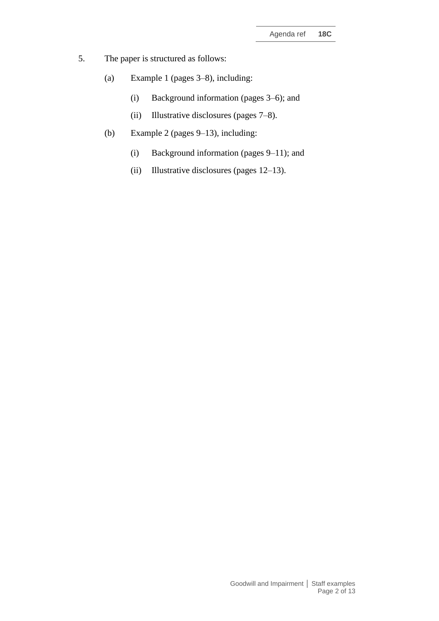- 5. The paper is structured as follows:
	- (a) Example 1 (pages 3–8), including:
		- (i) Background information (pages 3–6); and
		- (ii) Illustrative disclosures (pages 7–8).
	- (b) Example 2 (pages 9–13), including:
		- (i) Background information (pages 9–11); and
		- (ii) Illustrative disclosures (pages 12–13).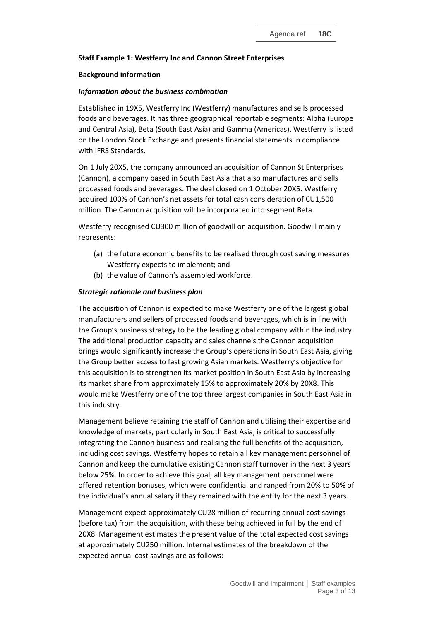## **Staff Example 1: Westferry Inc and Cannon Street Enterprises**

#### **Background information**

### *Information about the business combination*

Established in 19X5, Westferry Inc (Westferry) manufactures and sells processed foods and beverages. It has three geographical reportable segments: Alpha (Europe and Central Asia), Beta (South East Asia) and Gamma (Americas). Westferry is listed on the London Stock Exchange and presents financial statements in compliance with IFRS Standards.

On 1 July 20X5, the company announced an acquisition of Cannon St Enterprises (Cannon), a company based in South East Asia that also manufactures and sells processed foods and beverages. The deal closed on 1 October 20X5. Westferry acquired 100% of Cannon's net assets for total cash consideration of CU1,500 million. The Cannon acquisition will be incorporated into segment Beta.

Westferry recognised CU300 million of goodwill on acquisition. Goodwill mainly represents:

- (a) the future economic benefits to be realised through cost saving measures Westferry expects to implement; and
- (b) the value of Cannon's assembled workforce.

#### *Strategic rationale and business plan*

The acquisition of Cannon is expected to make Westferry one of the largest global manufacturers and sellers of processed foods and beverages, which is in line with the Group's business strategy to be the leading global company within the industry. The additional production capacity and sales channels the Cannon acquisition brings would significantly increase the Group's operations in South East Asia, giving the Group better access to fast growing Asian markets. Westferry's objective for this acquisition is to strengthen its market position in South East Asia by increasing its market share from approximately 15% to approximately 20% by 20X8. This would make Westferry one of the top three largest companies in South East Asia in this industry.

Management believe retaining the staff of Cannon and utilising their expertise and knowledge of markets, particularly in South East Asia, is critical to successfully integrating the Cannon business and realising the full benefits of the acquisition, including cost savings. Westferry hopes to retain all key management personnel of Cannon and keep the cumulative existing Cannon staff turnover in the next 3 years below 25%. In order to achieve this goal, all key management personnel were offered retention bonuses, which were confidential and ranged from 20% to 50% of the individual's annual salary if they remained with the entity for the next 3 years.

Management expect approximately CU28 million of recurring annual cost savings (before tax) from the acquisition, with these being achieved in full by the end of 20X8. Management estimates the present value of the total expected cost savings at approximately CU250 million. Internal estimates of the breakdown of the expected annual cost savings are as follows: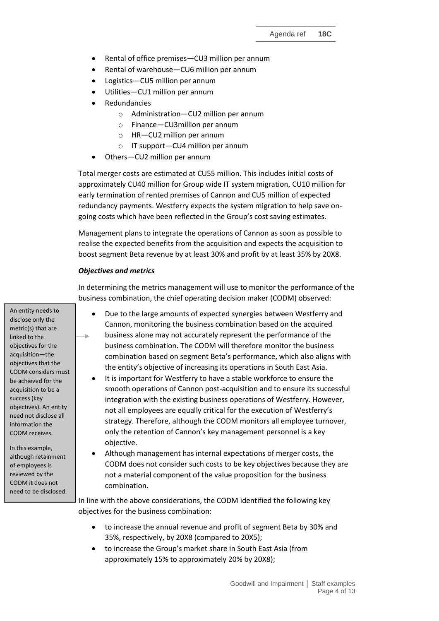- Rental of office premises-CU3 million per annum
- Rental of warehouse—CU6 million per annum
- Logistics—CU5 million per annum
- Utilities—CU1 million per annum
- Redundancies
	- o Administration—CU2 million per annum
	- o Finance—CU3million per annum
	- o HR—CU2 million per annum
	- o IT support—CU4 million per annum
- Others-CU2 million per annum

Total merger costs are estimated at CU55 million. This includes initial costs of approximately CU40 million for Group wide IT system migration, CU10 million for early termination of rented premises of Cannon and CU5 million of expected redundancy payments. Westferry expects the system migration to help save ongoing costs which have been reflected in the Group's cost saving estimates.

Management plans to integrate the operations of Cannon as soon as possible to realise the expected benefits from the acquisition and expects the acquisition to boost segment Beta revenue by at least 30% and profit by at least 35% by 20X8.

#### *Objectives and metrics*

In determining the metrics management will use to monitor the performance of the business combination, the chief operating decision maker (CODM) observed:

- Due to the large amounts of expected synergies between Westferry and Cannon, monitoring the business combination based on the acquired business alone may not accurately represent the performance of the ٠ business combination. The CODM will therefore monitor the business combination based on segment Beta's performance, which also aligns with the entity's objective of increasing its operations in South East Asia.
	- It is important for Westferry to have a stable workforce to ensure the smooth operations of Cannon post-acquisition and to ensure its successful integration with the existing business operations of Westferry. However, not all employees are equally critical for the execution of Westferry's strategy. Therefore, although the CODM monitors all employee turnover, only the retention of Cannon's key management personnel is a key objective.
	- Although management has internal expectations of merger costs, the CODM does not consider such costs to be key objectives because they are not a material component of the value proposition for the business combination.

In line with the above considerations, the CODM identified the following key objectives for the business combination:

- to increase the annual revenue and profit of segment Beta by 30% and 35%, respectively, by 20X8 (compared to 20X5);
- to increase the Group's market share in South East Asia (from approximately 15% to approximately 20% by 20X8);

Goodwill and Impairment **│** Staff examples Page 4 of 13

An entity needs to disclose only the metric(s) that are linked to the objectives for the acquisition—the objectives that the CODM considers must be achieved for the acquisition to be a success (key objectives). An entity need not disclose all information the CODM receives.

In this example, although retainment of employees is reviewed by the CODM it does not need to be disclosed.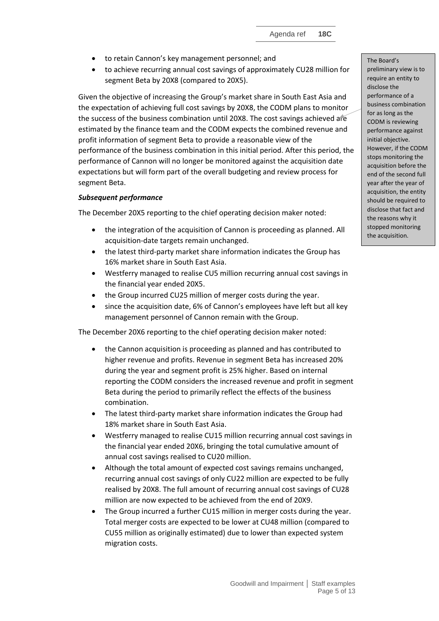- to retain Cannon's key management personnel; and
- to achieve recurring annual cost savings of approximately CU28 million for segment Beta by 20X8 (compared to 20X5).

Given the objective of increasing the Group's market share in South East Asia and the expectation of achieving full cost savings by 20X8, the CODM plans to monitor the success of the business combination until 20X8. The cost savings achieved are estimated by the finance team and the CODM expects the combined revenue and profit information of segment Beta to provide a reasonable view of the performance of the business combination in this initial period. After this period, the performance of Cannon will no longer be monitored against the acquisition date expectations but will form part of the overall budgeting and review process for segment Beta.

## *Subsequent performance*

The December 20X5 reporting to the chief operating decision maker noted:

- the integration of the acquisition of Cannon is proceeding as planned. All acquisition-date targets remain unchanged.
- the latest third-party market share information indicates the Group has 16% market share in South East Asia.
- Westferry managed to realise CU5 million recurring annual cost savings in the financial year ended 20X5.
- the Group incurred CU25 million of merger costs during the year.
- since the acquisition date, 6% of Cannon's employees have left but all key management personnel of Cannon remain with the Group.

The December 20X6 reporting to the chief operating decision maker noted:

- the Cannon acquisition is proceeding as planned and has contributed to higher revenue and profits. Revenue in segment Beta has increased 20% during the year and segment profit is 25% higher. Based on internal reporting the CODM considers the increased revenue and profit in segment Beta during the period to primarily reflect the effects of the business combination.
- The latest third-party market share information indicates the Group had 18% market share in South East Asia.
- Westferry managed to realise CU15 million recurring annual cost savings in the financial year ended 20X6, bringing the total cumulative amount of annual cost savings realised to CU20 million.
- Although the total amount of expected cost savings remains unchanged, recurring annual cost savings of only CU22 million are expected to be fully realised by 20X8. The full amount of recurring annual cost savings of CU28 million are now expected to be achieved from the end of 20X9.
- The Group incurred a further CU15 million in merger costs during the year. Total merger costs are expected to be lower at CU48 million (compared to CU55 million as originally estimated) due to lower than expected system migration costs.

The Board's preliminary view is to require an entity to disclose the performance of a business combination for as long as the CODM is reviewing performance against initial objective. However, if the CODM stops monitoring the acquisition before the end of the second full year after the year of acquisition, the entity should be required to disclose that fact and the reasons why it stopped monitoring the acquisition.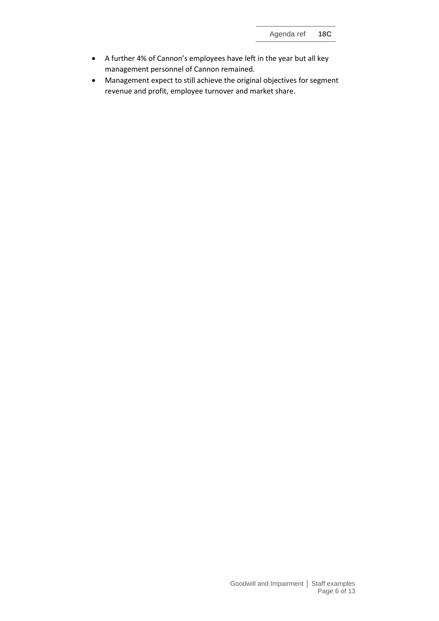- A further 4% of Cannon's employees have left in the year but all key management personnel of Cannon remained.
- Management expect to still achieve the original objectives for segment revenue and profit, employee turnover and market share.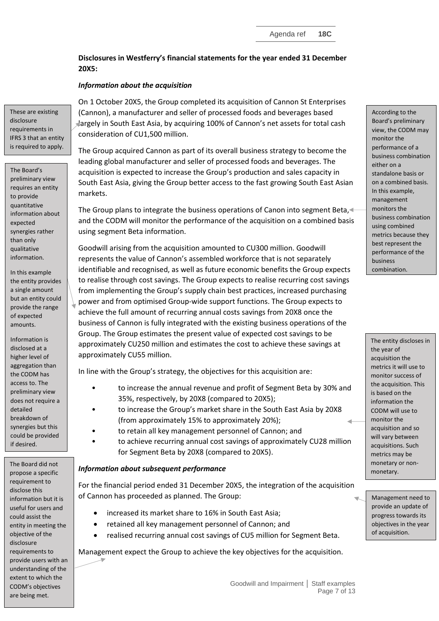**Disclosures in Westferry's financial statements for the year ended 31 December 20X5:**

## *Information about the acquisition*

These are existing disclosure requirements in IFRS 3 that an entity is required to apply.

The Board's preliminary view requires an entity to provide quantitative information about expected synergies rather than only qualitative information.

In this example the entity provides a single amount but an entity could provide the range of expected amounts.

Information is disclosed at a higher level of aggregation than the CODM has access to. The preliminary view does not require a detailed breakdown of synergies but this could be provided if desired.

The Board did not propose a specific requirement to disclose this information but it is useful for users and could assist the entity in meeting the objective of the disclosure requirements to provide users with an understanding of the extent to which the CODM's objectives are being met.

On 1 October 20X5, the Group completed its acquisition of Cannon St Enterprises (Cannon), a manufacturer and seller of processed foods and beverages based largely in South East Asia, by acquiring 100% of Cannon's net assets for total cash consideration of CU1,500 million.

The Group acquired Cannon as part of its overall business strategy to become the leading global manufacturer and seller of processed foods and beverages. The acquisition is expected to increase the Group's production and sales capacity in South East Asia, giving the Group better access to the fast growing South East Asian markets.

The Group plans to integrate the business operations of Canon into segment Beta, and the CODM will monitor the performance of the acquisition on a combined basis using segment Beta information.

Goodwill arising from the acquisition amounted to CU300 million. Goodwill represents the value of Cannon's assembled workforce that is not separately identifiable and recognised, as well as future economic benefits the Group expects to realise through cost savings. The Group expects to realise recurring cost savings from implementing the Group's supply chain best practices, increased purchasing power and from optimised Group-wide support functions. The Group expects to achieve the full amount of recurring annual costs savings from 20X8 once the business of Cannon is fully integrated with the existing business operations of the Group. The Group estimates the present value of expected cost savings to be approximately CU250 million and estimates the cost to achieve these savings at approximately CU55 million.

In line with the Group's strategy, the objectives for this acquisition are:

- to increase the annual revenue and profit of Segment Beta by 30% and 35%, respectively, by 20X8 (compared to 20X5);
- to increase the Group's market share in the South East Asia by 20X8 (from approximately 15% to approximately 20%);
- to retain all key management personnel of Cannon; and
- to achieve recurring annual cost savings of approximately CU28 million for Segment Beta by 20X8 (compared to 20X5).

## *Information about subsequent performance*

For the financial period ended 31 December 20X5, the integration of the acquisition of Cannon has proceeded as planned. The Group:

- increased its market share to 16% in South East Asia:
- retained all key management personnel of Cannon; and
- realised recurring annual cost savings of CU5 million for Segment Beta.

Management expect the Group to achieve the key objectives for the acquisition.

According to the Board's preliminary view, the CODM may monitor the performance of a business combination either on a standalone basis or on a combined basis. In this example, management monitors the business combination using combined metrics because they best represent the performance of the business

combination.

The entity discloses in the year of acquisition the metrics it will use to monitor success of the acquisition. This is based on the information the CODM will use to monitor the acquisition and so will vary between acquisitions. Such metrics may be monetary or nonmonetary.

Management need to provide an update of progress towards its objectives in the year of acquisition.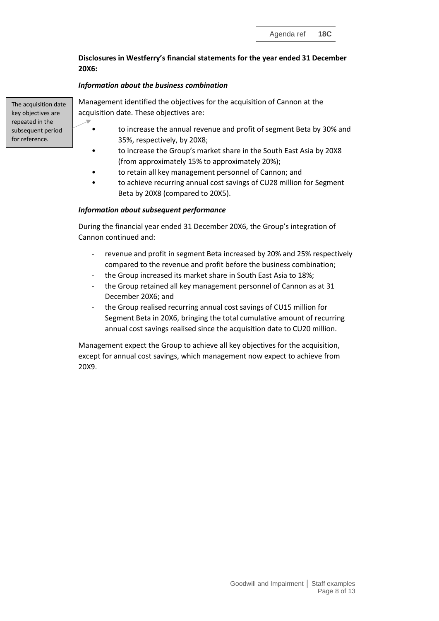## **Disclosures in Westferry's financial statements for the year ended 31 December 20X6:**

## *Information about the business combination*

The acquisition date key objectives are repeated in the subsequent period for reference.

Management identified the objectives for the acquisition of Cannon at the acquisition date. These objectives are:

- to increase the annual revenue and profit of segment Beta by 30% and 35%, respectively, by 20X8;
- to increase the Group's market share in the South East Asia by 20X8 (from approximately 15% to approximately 20%);
- to retain all key management personnel of Cannon; and
- to achieve recurring annual cost savings of CU28 million for Segment Beta by 20X8 (compared to 20X5).

## *Information about subsequent performance*

During the financial year ended 31 December 20X6, the Group's integration of Cannon continued and:

- revenue and profit in segment Beta increased by 20% and 25% respectively compared to the revenue and profit before the business combination;
- the Group increased its market share in South East Asia to 18%;
- the Group retained all key management personnel of Cannon as at 31 December 20X6; and
- the Group realised recurring annual cost savings of CU15 million for Segment Beta in 20X6, bringing the total cumulative amount of recurring annual cost savings realised since the acquisition date to CU20 million.

Management expect the Group to achieve all key objectives for the acquisition, except for annual cost savings, which management now expect to achieve from 20X9.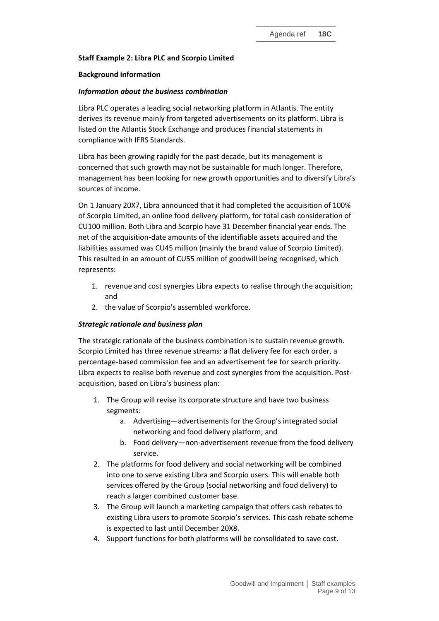## **Staff Example 2: Libra PLC and Scorpio Limited**

#### **Background information**

#### *Information about the business combination*

Libra PLC operates a leading social networking platform in Atlantis. The entity derives its revenue mainly from targeted advertisements on its platform. Libra is listed on the Atlantis Stock Exchange and produces financial statements in compliance with IFRS Standards.

Libra has been growing rapidly for the past decade, but its management is concerned that such growth may not be sustainable for much longer. Therefore, management has been looking for new growth opportunities and to diversify Libra's sources of income.

On 1 January 20X7, Libra announced that it had completed the acquisition of 100% of Scorpio Limited, an online food delivery platform, for total cash consideration of CU100 million. Both Libra and Scorpio have 31 December financial year ends. The net of the acquisition-date amounts of the identifiable assets acquired and the liabilities assumed was CU45 million (mainly the brand value of Scorpio Limited). This resulted in an amount of CU55 million of goodwill being recognised, which represents:

- 1. revenue and cost synergies Libra expects to realise through the acquisition; and
- 2. the value of Scorpio's assembled workforce.

### *Strategic rationale and business plan*

The strategic rationale of the business combination is to sustain revenue growth. Scorpio Limited has three revenue streams: a flat delivery fee for each order, a percentage-based commission fee and an advertisement fee for search priority. Libra expects to realise both revenue and cost synergies from the acquisition. Postacquisition, based on Libra's business plan:

- 1. The Group will revise its corporate structure and have two business segments:
	- a. Advertising—advertisements for the Group's integrated social networking and food delivery platform; and
	- b. Food delivery—non-advertisement revenue from the food delivery service.
- 2. The platforms for food delivery and social networking will be combined into one to serve existing Libra and Scorpio users. This will enable both services offered by the Group (social networking and food delivery) to reach a larger combined customer base.
- 3. The Group will launch a marketing campaign that offers cash rebates to existing Libra users to promote Scorpio's services. This cash rebate scheme is expected to last until December 20X8.
- 4. Support functions for both platforms will be consolidated to save cost.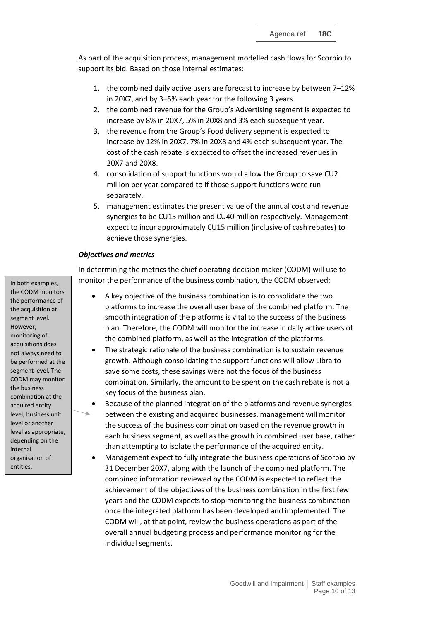As part of the acquisition process, management modelled cash flows for Scorpio to support its bid. Based on those internal estimates:

- 1. the combined daily active users are forecast to increase by between 7–12% in 20X7, and by 3–5% each year for the following 3 years.
- 2. the combined revenue for the Group's Advertising segment is expected to increase by 8% in 20X7, 5% in 20X8 and 3% each subsequent year.
- 3. the revenue from the Group's Food delivery segment is expected to increase by 12% in 20X7, 7% in 20X8 and 4% each subsequent year. The cost of the cash rebate is expected to offset the increased revenues in 20X7 and 20X8.
- 4. consolidation of support functions would allow the Group to save CU2 million per year compared to if those support functions were run separately.
- 5. management estimates the present value of the annual cost and revenue synergies to be CU15 million and CU40 million respectively. Management expect to incur approximately CU15 million (inclusive of cash rebates) to achieve those synergies.

#### *Objectives and metrics*

In determining the metrics the chief operating decision maker (CODM) will use to monitor the performance of the business combination, the CODM observed:

- A key objective of the business combination is to consolidate the two platforms to increase the overall user base of the combined platform. The smooth integration of the platforms is vital to the success of the business plan. Therefore, the CODM will monitor the increase in daily active users of the combined platform, as well as the integration of the platforms.
- The strategic rationale of the business combination is to sustain revenue growth. Although consolidating the support functions will allow Libra to save some costs, these savings were not the focus of the business combination. Similarly, the amount to be spent on the cash rebate is not a key focus of the business plan.
- Because of the planned integration of the platforms and revenue synergies between the existing and acquired businesses, management will monitor the success of the business combination based on the revenue growth in each business segment, as well as the growth in combined user base, rather than attempting to isolate the performance of the acquired entity.
- Management expect to fully integrate the business operations of Scorpio by 31 December 20X7, along with the launch of the combined platform. The combined information reviewed by the CODM is expected to reflect the achievement of the objectives of the business combination in the first few years and the CODM expects to stop monitoring the business combination once the integrated platform has been developed and implemented. The CODM will, at that point, review the business operations as part of the overall annual budgeting process and performance monitoring for the individual segments.

In both examples, the CODM monitors the performance of the acquisition at segment level. However, monitoring of acquisitions does not always need to be performed at the segment level. The CODM may monitor the business combination at the acquired entity level, business unit level or another level as appropriate, depending on the internal organisation of entities.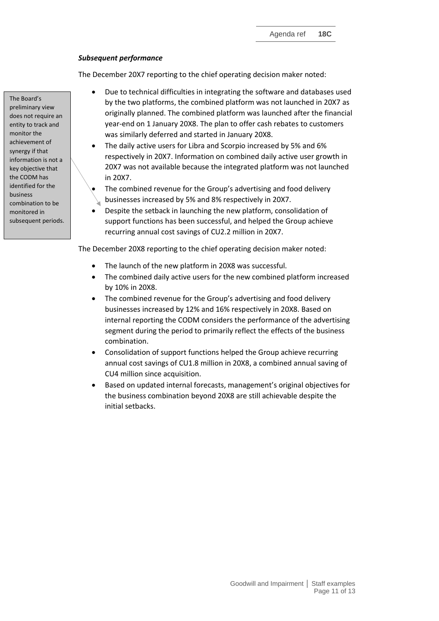## *Subsequent performance*

The December 20X7 reporting to the chief operating decision maker noted:

- Due to technical difficulties in integrating the software and databases used by the two platforms, the combined platform was not launched in 20X7 as originally planned. The combined platform was launched after the financial year-end on 1 January 20X8. The plan to offer cash rebates to customers was similarly deferred and started in January 20X8.
- The daily active users for Libra and Scorpio increased by 5% and 6% respectively in 20X7. Information on combined daily active user growth in 20X7 was not available because the integrated platform was not launched in 20X7.
- The combined revenue for the Group's advertising and food delivery businesses increased by 5% and 8% respectively in 20X7.
- Despite the setback in launching the new platform, consolidation of support functions has been successful, and helped the Group achieve recurring annual cost savings of CU2.2 million in 20X7.

The December 20X8 reporting to the chief operating decision maker noted:

- The launch of the new platform in 20X8 was successful.
- The combined daily active users for the new combined platform increased by 10% in 20X8.
- The combined revenue for the Group's advertising and food delivery businesses increased by 12% and 16% respectively in 20X8. Based on internal reporting the CODM considers the performance of the advertising segment during the period to primarily reflect the effects of the business combination.
- Consolidation of support functions helped the Group achieve recurring annual cost savings of CU1.8 million in 20X8, a combined annual saving of CU4 million since acquisition.
- Based on updated internal forecasts, management's original objectives for the business combination beyond 20X8 are still achievable despite the initial setbacks.

The Board's preliminary view does not require an entity to track and monitor the achievement of synergy if that information is not a key objective that the CODM has identified for the business combination to be monitored in subsequent periods.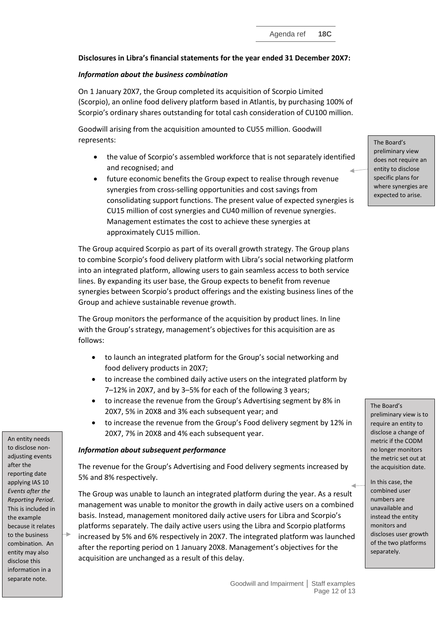## **Disclosures in Libra's financial statements for the year ended 31 December 20X7:**

## *Information about the business combination*

On 1 January 20X7, the Group completed its acquisition of Scorpio Limited (Scorpio), an online food delivery platform based in Atlantis, by purchasing 100% of Scorpio's ordinary shares outstanding for total cash consideration of CU100 million.

Goodwill arising from the acquisition amounted to CU55 million. Goodwill represents:

- the value of Scorpio's assembled workforce that is not separately identified and recognised; and
- future economic benefits the Group expect to realise through revenue synergies from cross-selling opportunities and cost savings from consolidating support functions. The present value of expected synergies is CU15 million of cost synergies and CU40 million of revenue synergies. Management estimates the cost to achieve these synergies at approximately CU15 million.

The Group acquired Scorpio as part of its overall growth strategy. The Group plans to combine Scorpio's food delivery platform with Libra's social networking platform into an integrated platform, allowing users to gain seamless access to both service lines. By expanding its user base, the Group expects to benefit from revenue synergies between Scorpio's product offerings and the existing business lines of the Group and achieve sustainable revenue growth.

The Group monitors the performance of the acquisition by product lines. In line with the Group's strategy, management's objectives for this acquisition are as follows:

- to launch an integrated platform for the Group's social networking and food delivery products in 20X7;
- to increase the combined daily active users on the integrated platform by 7–12% in 20X7, and by 3–5% for each of the following 3 years;
- to increase the revenue from the Group's Advertising segment by 8% in 20X7, 5% in 20X8 and 3% each subsequent year; and
- to increase the revenue from the Group's Food delivery segment by 12% in 20X7, 7% in 20X8 and 4% each subsequent year.

### *Information about subsequent performance*

The revenue for the Group's Advertising and Food delivery segments increased by 5% and 8% respectively.

The Group was unable to launch an integrated platform during the year. As a result management was unable to monitor the growth in daily active users on a combined basis. Instead, management monitored daily active users for Libra and Scorpio's platforms separately. The daily active users using the Libra and Scorpio platforms increased by 5% and 6% respectively in 20X7. The integrated platform was launched after the reporting period on 1 January 20X8. Management's objectives for the acquisition are unchanged as a result of this delay.

The Board's preliminary view does not require an entity to disclose specific plans for where synergies are expected to arise.

#### The Board's

preliminary view is to require an entity to disclose a change of metric if the CODM no longer monitors the metric set out at the acquisition date.

In this case, the combined user numbers are unavailable and instead the entity monitors and discloses user growth of the two platforms separately.

An entity needs to disclose nonadjusting events after the reporting date applying IAS 10 *Events after the Reporting Period*. This is included in the example because it relates to the business combination. An entity may also disclose this information in a separate note.

÷.